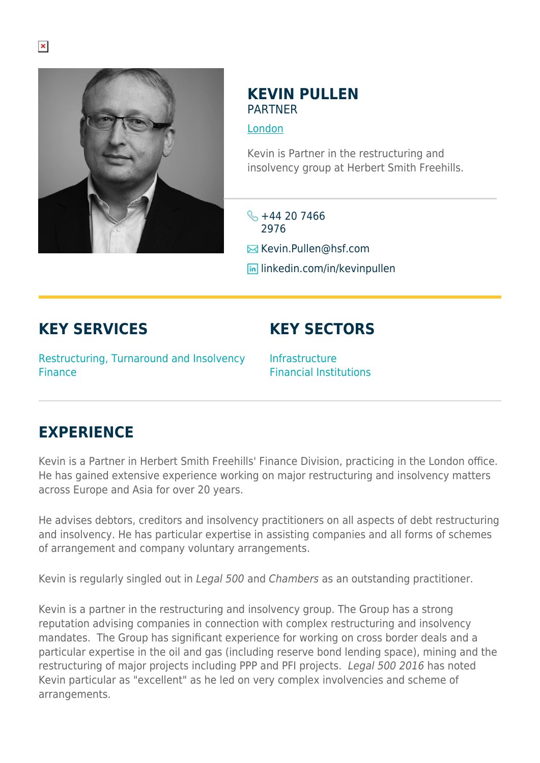

## **KEVIN PULLEN** PARTNER

[London](https://www.herbertsmithfreehills.com/where-we-work/london)

Kevin is Partner in the restructuring and insolvency group at Herbert Smith Freehills.

 $\frac{1}{2} + 44 20 7466$ 2976

**E** Kevin.Pullen@hsf.com

**lin** linkedin.com/in/kevinpullen

## **KEY SERVICES**

**KEY SECTORS**

Restructuring, Turnaround and Insolvency Finance

Infrastructure Financial Institutions

## **EXPERIENCE**

Kevin is a Partner in Herbert Smith Freehills' Finance Division, practicing in the London office. He has gained extensive experience working on major restructuring and insolvency matters across Europe and Asia for over 20 years.

He advises debtors, creditors and insolvency practitioners on all aspects of debt restructuring and insolvency. He has particular expertise in assisting companies and all forms of schemes of arrangement and company voluntary arrangements.

Kevin is regularly singled out in Legal 500 and Chambers as an outstanding practitioner.

Kevin is a partner in the restructuring and insolvency group. The Group has a strong reputation advising companies in connection with complex restructuring and insolvency mandates. The Group has significant experience for working on cross border deals and a particular expertise in the oil and gas (including reserve bond lending space), mining and the restructuring of major projects including PPP and PFI projects. Legal 500 2016 has noted Kevin particular as "excellent" as he led on very complex involvencies and scheme of arrangements.